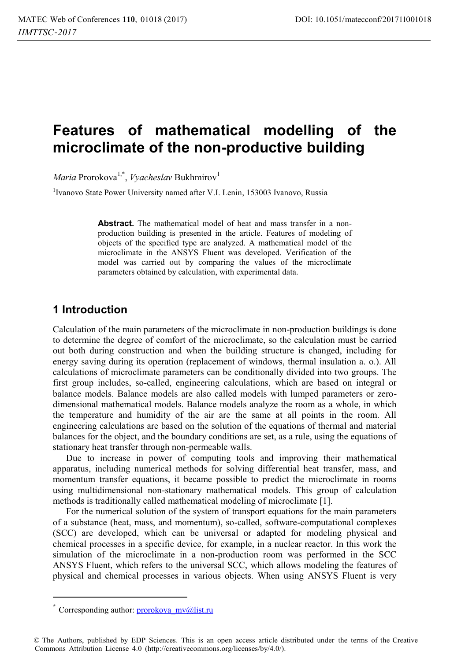# **Features of mathematical modelling of the microclimate of the non-productive building**

*Maria* Prorokova<sup>1,\*</sup>, *Vyacheslav* Bukhmirov<sup>1</sup>

<sup>1</sup> Ivanovo State Power University named after V.I. Lenin, 153003 Ivanovo, Russia

**Abstract.** The mathematical model of heat and mass transfer in a nonproduction building is presented in the article. Features of modeling of objects of the specified type are analyzed. A mathematical model of the microclimate in the ANSYS Fluent was developed. Verification of the model was carried out by comparing the values of the microclimate parameters obtained by calculation, with experimental data.

#### **1 Introduction**

Calculation of the main parameters of the microclimate in non-production buildings is done to determine the degree of comfort of the microclimate, so the calculation must be carried out both during construction and when the building structure is changed, including for energy saving during its operation (replacement of windows, thermal insulation a. o.). All calculations of microclimate parameters can be conditionally divided into two groups. The first group includes, so-called, engineering calculations, which are based on integral or balance models. Balance models are also called models with lumped parameters or zerodimensional mathematical models. Balance models analyze the room as a whole, in which the temperature and humidity of the air are the same at all points in the room. All engineering calculations are based on the solution of the equations of thermal and material balances for the object, and the boundary conditions are set, as a rule, using the equations of stationary heat transfer through non-permeable walls.

Due to increase in power of computing tools and improving their mathematical apparatus, including numerical methods for solving differential heat transfer, mass, and momentum transfer equations, it became possible to predict the microclimate in rooms using multidimensional non-stationary mathematical models. This group of calculation methods is traditionally called mathematical modeling of microclimate [1].

For the numerical solution of the system of transport equations for the main parameters of a substance (heat, mass, and momentum), so-called, software-computational complexes (SCC) are developed, which can be universal or adapted for modeling physical and chemical processes in a specific device, for example, in a nuclear reactor. In this work the simulation of the microclimate in a non-production room was performed in the SCC ANSYS Fluent, which refers to the universal SCC, which allows modeling the features of physical and chemical processes in various objects. When using ANSYS Fluent is very

ı

<sup>\*</sup> Corresponding author: prorokova  $mv@$ list.ru

<sup>©</sup> The Authors, published by EDP Sciences. This is an open access article distributed under the terms of the Creative Commons Attribution License 4.0 (http://creativecommons.org/licenses/by/4.0/).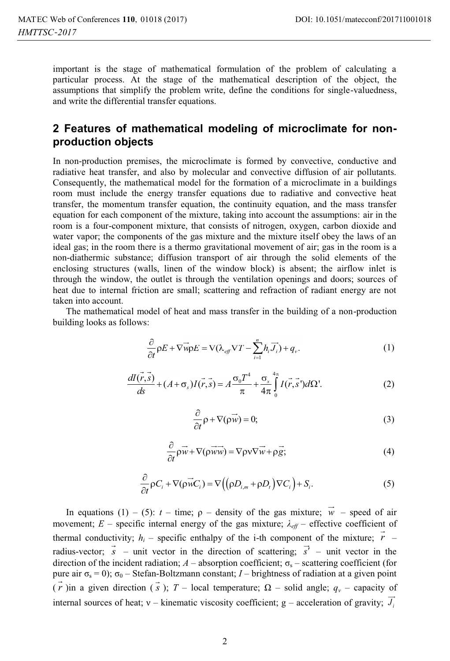important is the stage of mathematical formulation of the problem of calculating a particular process. At the stage of the mathematical description of the object, the assumptions that simplify the problem write, define the conditions for single-valuedness, and write the differential transfer equations.

### **2 Features of mathematical modeling of microclimate for nonproduction objects**

In non-production premises, the microclimate is formed by convective, conductive and radiative heat transfer, and also by molecular and convective diffusion of air pollutants. Consequently, the mathematical model for the formation of a microclimate in a buildings room must include the energy transfer equations due to radiative and convective heat transfer, the momentum transfer equation, the continuity equation, and the mass transfer equation for each component of the mixture, taking into account the assumptions: air in the room is a four-component mixture, that consists of nitrogen, oxygen, carbon dioxide and water vapor; the components of the gas mixture and the mixture itself obey the laws of an ideal gas; in the room there is a thermo gravitational movement of air; gas in the room is a non-diathermic substance; diffusion transport of air through the solid elements of the enclosing structures (walls, linen of the window block) is absent; the airflow inlet is through the window, the outlet is through the ventilation openings and doors; sources of heat due to internal friction are small; scattering and refraction of radiant energy are not taken into account.

The mathematical model of heat and mass transfer in the building of a non-production building looks as follows:

$$
\frac{\partial}{\partial t} \rho E + \nabla \vec{w} \rho E = \nabla (\lambda_{\text{eff}} \nabla T - \sum_{i=1}^{n} h_i \vec{J}_i) + q_v. \tag{1}
$$

$$
\frac{dI(\vec{r},\vec{s})}{ds} + (A+\sigma_s)I(\vec{r},\vec{s}) = A\frac{\sigma_0 T^4}{\pi} + \frac{\sigma_s}{4\pi} \int_0^{4\pi} I(\vec{r},\vec{s}')d\Omega'.
$$
 (2)

$$
\frac{\partial}{\partial t}\rho + \nabla(\rho \vec{w}) = 0;\tag{3}
$$

$$
\frac{\partial}{\partial t} \rho \vec{w} + \nabla(\rho \vec{w} \vec{w}) = \nabla \rho \nu \nabla \vec{w} + \rho \vec{g};
$$
\n(4)

$$
\frac{\partial}{\partial t} \rho C_i + \nabla (\rho \vec{w} C_i) = \nabla \left( \left( \rho D_{i,m} + \rho D_t \right) \nabla C_i \right) + S_i.
$$
\n(5)

In equations (1) – (5):  $t$  – time;  $\rho$  – density of the gas mixture;  $\vec{w}$  – speed of air movement;  $E$  – specific internal energy of the gas mixture;  $\lambda_{eff}$  – effective coefficient of thermal conductivity;  $h_i$  – specific enthalpy of the i-th component of the mixture;  $\vec{r}$  – radius-vector;  $\vec{s}$  – unit vector in the direction of scattering;  $\vec{s'}$  – unit vector in the direction of the incident radiation;  $A$  – absorption coefficient;  $\sigma_s$  – scattering coefficient (for pure air σ<sub>s</sub> = 0); σ<sub>0</sub> – Stefan-Boltzmann constant; *I* – brightness of radiation at a given point  $(\vec{r})$ in a given direction  $(\vec{s})$ ; *T* – local temperature;  $\Omega$  – solid angle; *q<sub>v</sub>* – capacity of internal sources of heat;  $v$  – kinematic viscosity coefficient; g – acceleration of gravity;  $\overrightarrow{J}_i$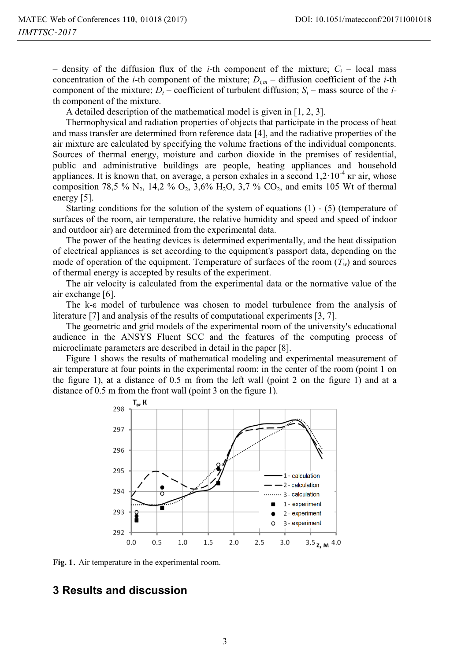– density of the diffusion flux of the *i*-th component of the mixture;  $C_i$  – local mass concentration of the *i*-th component of the mixture;  $D_{i,m}$  – diffusion coefficient of the *i*-th component of the mixture;  $D_t$  – coefficient of turbulent diffusion;  $S_i$  – mass source of the *i*th component of the mixture.

A detailed description of the mathematical model is given in [1, 2, 3].

Thermophysical and radiation properties of objects that participate in the process of heat and mass transfer are determined from reference data [4], and the radiative properties of the air mixture are calculated by specifying the volume fractions of the individual components. Sources of thermal energy, moisture and carbon dioxide in the premises of residential, public and administrative buildings are people, heating appliances and household appliances. It is known that, on average, a person exhales in a second  $1,2 \cdot 10^{-4}$  kr air, whose composition 78,5 % N<sub>2</sub>, 14,2 % O<sub>2</sub>, 3,6% H<sub>2</sub>O, 3,7 % CO<sub>2</sub>, and emits 105 Wt of thermal energy [5].

Starting conditions for the solution of the system of equations  $(1)$  -  $(5)$  (temperature of surfaces of the room, air temperature, the relative humidity and speed and speed of indoor and outdoor air) are determined from the experimental data.

The power of the heating devices is determined experimentally, and the heat dissipation of electrical appliances is set according to the equipment's passport data, depending on the mode of operation of the equipment. Temperature of surfaces of the room  $(T_w)$  and sources of thermal energy is accepted by results of the experiment.

The air velocity is calculated from the experimental data or the normative value of the air exchange [6].

The k-ε model of turbulence was chosen to model turbulence from the analysis of literature [7] and analysis of the results of computational experiments [3, 7].

The geometric and grid models of the experimental room of the university's educational audience in the ANSYS Fluent SCC and the features of the computing process of microclimate parameters are described in detail in the paper [8].

Figure 1 shows the results of mathematical modeling and experimental measurement of air temperature at four points in the experimental room: in the center of the room (point 1 on the figure 1), at a distance of 0.5 m from the left wall (point 2 on the figure 1) and at a distance of 0.5 m from the front wall (point 3 on the figure 1).



**Fig. 1**. Air temperature in the experimental room.

#### **3 Results and discussion**